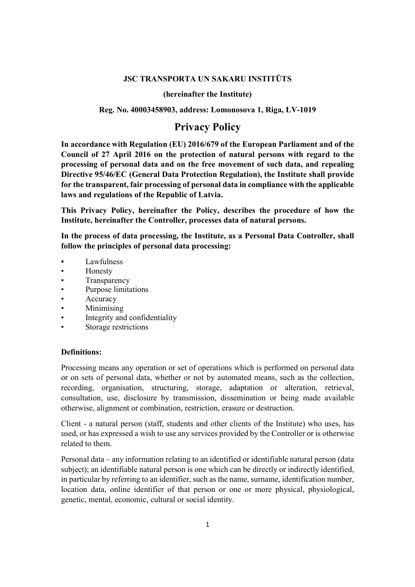### JSC TRANSPORTA UN SAKARU INSTITŪTS

### (hereinafter the Institute)

### Reg. No. 40003458903, address: Lomonosova 1, Riga, LV-1019

# Privacy Policy

In accordance with Regulation (EU) 2016/679 of the European Parliament and of the Council of 27 April 2016 on the protection of natural persons with regard to the processing of personal data and on the free movement of such data, and repealing Directive 95/46/EC (General Data Protection Regulation), the Institute shall provide for the transparent, fair processing of personal data in compliance with the applicable laws and regulations of the Republic of Latvia.

This Privacy Policy, hereinafter the Policy, describes the procedure of how the Institute, hereinafter the Controller, processes data of natural persons.

In the process of data processing, the Institute, as a Personal Data Controller, shall follow the principles of personal data processing:

- **Lawfulness**
- Honesty
- Transparency
- Purpose limitations
- **Accuracy**
- Minimising
- Integrity and confidentiality
- Storage restrictions

### Definitions:

Processing means any operation or set of operations which is performed on personal data or on sets of personal data, whether or not by automated means, such as the collection, recording, organisation, structuring, storage, adaptation or alteration, retrieval, consultation, use, disclosure by transmission, dissemination or being made available otherwise, alignment or combination, restriction, erasure or destruction.

Client - a natural person (staff, students and other clients of the Institute) who uses, has used, or has expressed a wish to use any services provided by the Controller or is otherwise related to them.

Personal data – any information relating to an identified or identifiable natural person (data subject); an identifiable natural person is one which can be directly or indirectly identified, in particular by referring to an identifier, such as the name, surname, identification number, location data, online identifier of that person or one or more physical, physiological, genetic, mental, economic, cultural or social identity.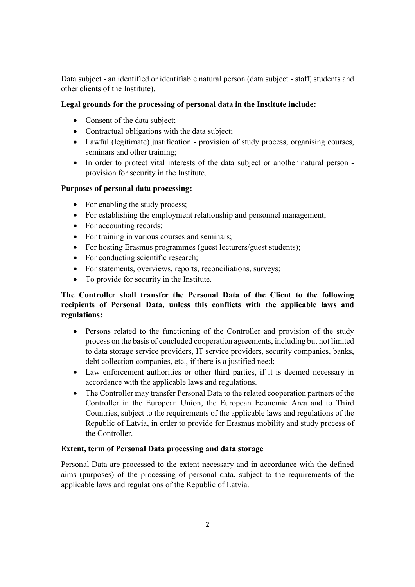Data subject - an identified or identifiable natural person (data subject - staff, students and other clients of the Institute).

## Legal grounds for the processing of personal data in the Institute include:

- Consent of the data subject;
- Contractual obligations with the data subject;
- Lawful (legitimate) justification provision of study process, organising courses, seminars and other training;
- In order to protect vital interests of the data subject or another natural person provision for security in the Institute.

## Purposes of personal data processing:

- For enabling the study process;
- For establishing the employment relationship and personnel management;
- For accounting records;
- For training in various courses and seminars;
- For hosting Erasmus programmes (guest lecturers/guest students);
- For conducting scientific research;
- For statements, overviews, reports, reconciliations, surveys;
- To provide for security in the Institute.

# The Controller shall transfer the Personal Data of the Client to the following recipients of Personal Data, unless this conflicts with the applicable laws and regulations:

- Persons related to the functioning of the Controller and provision of the study process on the basis of concluded cooperation agreements, including but not limited to data storage service providers, IT service providers, security companies, banks, debt collection companies, etc., if there is a justified need;
- Law enforcement authorities or other third parties, if it is deemed necessary in accordance with the applicable laws and regulations.
- The Controller may transfer Personal Data to the related cooperation partners of the Controller in the European Union, the European Economic Area and to Third Countries, subject to the requirements of the applicable laws and regulations of the Republic of Latvia, in order to provide for Erasmus mobility and study process of the Controller.

## Extent, term of Personal Data processing and data storage

Personal Data are processed to the extent necessary and in accordance with the defined aims (purposes) of the processing of personal data, subject to the requirements of the applicable laws and regulations of the Republic of Latvia.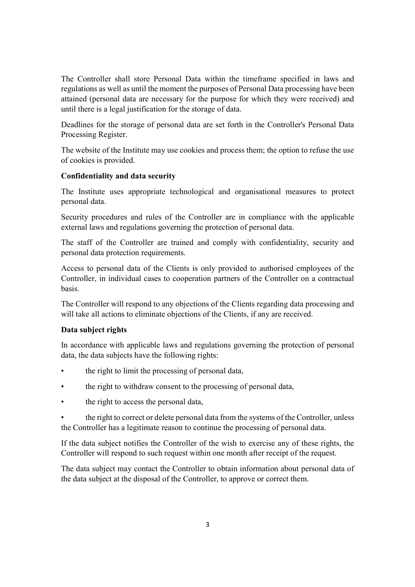The Controller shall store Personal Data within the timeframe specified in laws and regulations as well as until the moment the purposes of Personal Data processing have been attained (personal data are necessary for the purpose for which they were received) and until there is a legal justification for the storage of data.

Deadlines for the storage of personal data are set forth in the Controller's Personal Data Processing Register.

The website of the Institute may use cookies and process them; the option to refuse the use of cookies is provided.

## Confidentiality and data security

The Institute uses appropriate technological and organisational measures to protect personal data.

Security procedures and rules of the Controller are in compliance with the applicable external laws and regulations governing the protection of personal data.

The staff of the Controller are trained and comply with confidentiality, security and personal data protection requirements.

Access to personal data of the Clients is only provided to authorised employees of the Controller, in individual cases to cooperation partners of the Controller on a contractual basis.

The Controller will respond to any objections of the Clients regarding data processing and will take all actions to eliminate objections of the Clients, if any are received.

## Data subject rights

In accordance with applicable laws and regulations governing the protection of personal data, the data subjects have the following rights:

- the right to limit the processing of personal data,
- the right to withdraw consent to the processing of personal data,
- the right to access the personal data,

• the right to correct or delete personal data from the systems of the Controller, unless the Controller has a legitimate reason to continue the processing of personal data.

If the data subject notifies the Controller of the wish to exercise any of these rights, the Controller will respond to such request within one month after receipt of the request.

The data subject may contact the Controller to obtain information about personal data of the data subject at the disposal of the Controller, to approve or correct them.